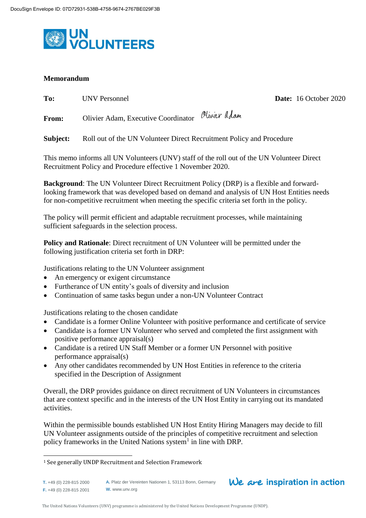

## **Memorandum**

| To:      | <b>UNV Personnel</b>                                                 | Date: |
|----------|----------------------------------------------------------------------|-------|
| From:    | Olivier Adam, Executive Coordinator Plivier Adam                     |       |
| Subject: | Roll out of the UN Volunteer Direct Recruitment Policy and Procedure |       |

This memo informs all UN Volunteers (UNV) staff of the roll out of the UN Volunteer Direct Recruitment Policy and Procedure effective 1 November 2020.

**Background**: The UN Volunteer Direct Recruitment Policy (DRP) is a flexible and forwardlooking framework that was developed based on demand and analysis of UN Host Entities needs for non-competitive recruitment when meeting the specific criteria set forth in the policy.

The policy will permit efficient and adaptable recruitment processes, while maintaining sufficient safeguards in the selection process.

**Policy and Rationale**: Direct recruitment of UN Volunteer will be permitted under the following justification criteria set forth in DRP:

Justifications relating to the UN Volunteer assignment

- An emergency or exigent circumstance
- Furtherance of UN entity's goals of diversity and inclusion
- Continuation of same tasks begun under a non-UN Volunteer Contract

Justifications relating to the chosen candidate

- Candidate is a former Online Volunteer with positive performance and certificate of service
- Candidate is a former UN Volunteer who served and completed the first assignment with positive performance appraisal(s)
- Candidate is a retired UN Staff Member or a former UN Personnel with positive performance appraisal(s)
- Any other candidates recommended by UN Host Entities in reference to the criteria specified in the Description of Assignment

Overall, the DRP provides guidance on direct recruitment of UN Volunteers in circumstances that are context specific and in the interests of the UN Host Entity in carrying out its mandated activities.

Within the permissible bounds established UN Host Entity Hiring Managers may decide to fill UN Volunteer assignments outside of the principles of competitive recruitment and selection policy frameworks in the United Nations system<sup>1</sup> in line with DRP.

 $\overline{a}$ 

We are inspiration in action

**Date:** 16 October 2020

<sup>1</sup> See generally UNDP Recruitment and Selection Framework